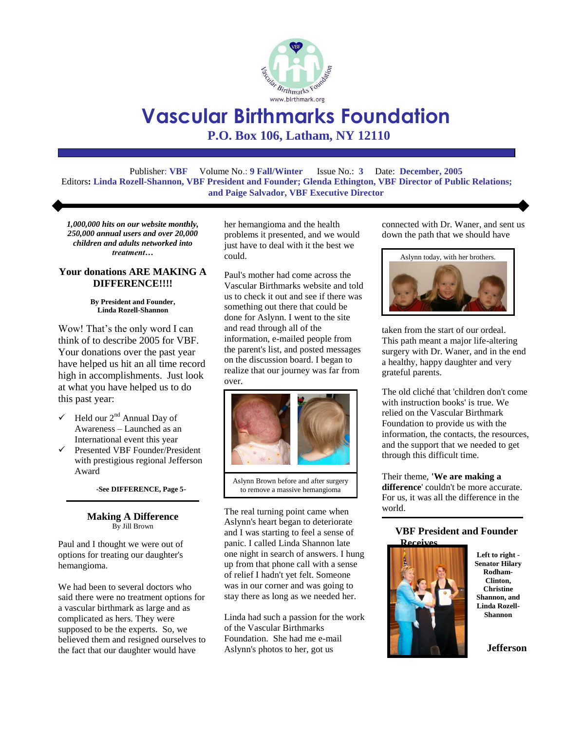

# **Vascular Birthmarks Foundation**

**P.O. Box 106, Latham, NY 12110**

Publisher: **VBF** Volume No.: **9 Fall/Winter** Issue No.: **3** Date: **December, 2005** Editors**: Linda Rozell-Shannon, VBF President and Founder; Glenda Ethington, VBF Director of Public Relations; and Paige Salvador, VBF Executive Director**

*1,000,000 hits on our website monthly, 250,000 annual users and over 20,000 children and adults networked into treatment…*

#### **Your donations ARE MAKING A DIFFERENCE!!!!**

#### **By President and Founder, Linda Rozell-Shannon**

Wow! That's the only word I can think of to describe 2005 for VBF. Your donations over the past year have helped us hit an all time record high in accomplishments. Just look at what you have helped us to do this past year:

- $\checkmark$  Held our 2<sup>nd</sup> Annual Day of Awareness – Launched as an International event this year
- $\checkmark$  Presented VBF Founder/President with prestigious regional Jefferson Award

**-See DIFFERENCE, Page 5-**

#### **Making A Difference** By Jill Brown

Paul and I thought we were out of options for treating our daughter's hemangioma.

We had been to several doctors who said there were no treatment options for a vascular birthmark as large and as complicated as hers. They were supposed to be the experts. So, we believed them and resigned ourselves to the fact that our daughter would have

her hemangioma and the health problems it presented, and we would just have to deal with it the best we could.

Paul's mother had come across the Vascular Birthmarks website and told us to check it out and see if there was something out there that could be done for Aslynn. I went to the site and read through all of the information, e-mailed people from the parent's list, and posted messages on the discussion board. I began to realize that our journey was far from over.



Aslynn Brown before and after surgery to remove a massive hemangioma

The real turning point came when Aslynn's heart began to deteriorate and I was starting to feel a sense of panic. I called Linda Shannon late one night in search of answers. I hung up from that phone call with a sense of relief I hadn't yet felt. Someone was in our corner and was going to stay there as long as we needed her.

Linda had such a passion for the work of the Vascular Birthmarks Foundation. She had me e-mail Aslynn's photos to her, got us

connected with Dr. Waner, and sent us down the path that we should have



taken from the start of our ordeal. This path meant a major life-altering surgery with Dr. Waner, and in the end a healthy, happy daughter and very grateful parents.

The old cliché that 'children don't come with instruction books' is true. We relied on the Vascular Birthmark Foundation to provide us with the information, the contacts, the resources, and the support that we needed to get through this difficult time.

Their theme, **'We are making a difference**' couldn't be more accurate. For us, it was all the difference in the world.

#### **VBF President and Founder Receives**



**Left to right - Senator Hilary Rodham-Clinton, Christine Shannon, and Linda Rozell-Shannon** 

**Jefferson**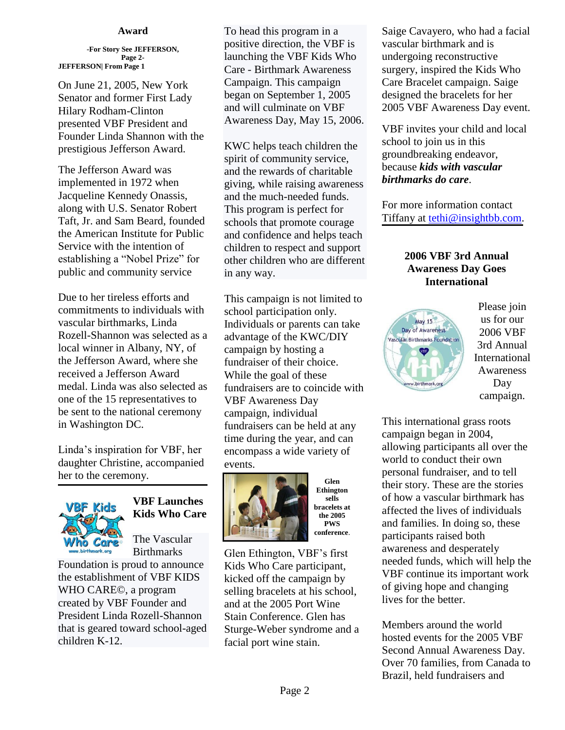#### **Award**

**-For Story See JEFFERSON, Page 2- JEFFERSON| From Page 1**

On June 21, 2005, New York Senator and former First Lady Hilary Rodham-Clinton presented VBF President and Founder Linda Shannon with the prestigious Jefferson Award.

The Jefferson Award was implemented in 1972 when Jacqueline Kennedy Onassis, along with U.S. Senator Robert Taft, Jr. and Sam Beard, founded the American Institute for Public Service with the intention of establishing a "Nobel Prize" for public and community service

Due to her tireless efforts and commitments to individuals with vascular birthmarks, Linda Rozell-Shannon was selected as a local winner in Albany, NY, of the Jefferson Award, where she received a Jefferson Award medal. Linda was also selected as one of the 15 representatives to be sent to the national ceremony in Washington DC.

Linda's inspiration for VBF, her daughter Christine, accompanied her to the ceremony.



# **VBF Launches Kids Who Care**

The Vascular Birthmarks

Foundation is proud to announce the establishment of VBF KIDS WHO CARE©, a program created by VBF Founder and President Linda Rozell-Shannon that is geared toward school-aged children K-12.

To head this program in a positive direction, the VBF is launching the VBF Kids Who Care - Birthmark Awareness Campaign. This campaign began on September 1, 2005 and will culminate on VBF Awareness Day, May 15, 2006.

KWC helps teach children the spirit of community service, and the rewards of charitable giving, while raising awareness and the much-needed funds. This program is perfect for schools that promote courage and confidence and helps teach children to respect and support other children who are different in any way.

This campaign is not limited to school participation only. Individuals or parents can take advantage of the KWC/DIY campaign by hosting a fundraiser of their choice. While the goal of these fundraisers are to coincide with VBF Awareness Day campaign, individual fundraisers can be held at any time during the year, and can encompass a wide variety of events.



**Glen Ethington sells bracelets at the 2005 PWS conference**.

Glen Ethington, VBF's first Kids Who Care participant, kicked off the campaign by selling bracelets at his school, and at the 2005 Port Wine Stain Conference. Glen has Sturge-Weber syndrome and a facial port wine stain.

Saige Cavayero, who had a facial vascular birthmark and is undergoing reconstructive surgery, inspired the Kids Who Care Bracelet campaign. Saige designed the bracelets for her 2005 VBF Awareness Day event.

VBF invites your child and local school to join us in this groundbreaking endeavor, because *kids with vascular birthmarks do care*.

For more information contact Tiffany at [tethi@insightbb.com.](mailto:tethi@insightbb.com)

## **2006 VBF 3rd Annual Awareness Day Goes International**



Please join us for our 2006 VBF 3rd Annual International Awareness Day campaign.

This international grass roots campaign began in 2004, allowing participants all over the world to conduct their own personal fundraiser, and to tell their story. These are the stories of how a vascular birthmark has affected the lives of individuals and families. In doing so, these participants raised both awareness and desperately needed funds, which will help the VBF continue its important work of giving hope and changing lives for the better.

Members around the world hosted events for the 2005 VBF Second Annual Awareness Day. Over 70 families, from Canada to Brazil, held fundraisers and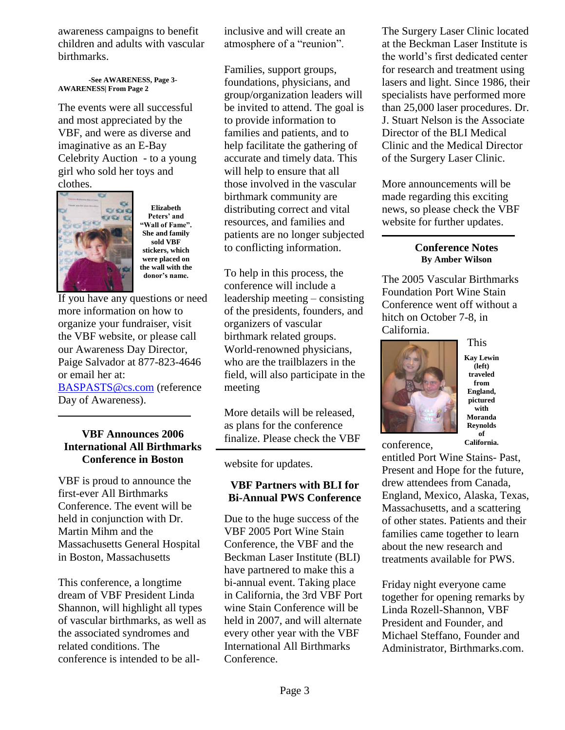awareness campaigns to benefit children and adults with vascular birthmarks.

**-See AWARENESS, Page 3- AWARENESS| From Page 2**

The events were all successful and most appreciated by the VBF, and were as diverse and imaginative as an E-Bay Celebrity Auction - to a young girl who sold her toys and clothes.



**Elizabeth Peters' and "Wall of Fame". She and family sold VBF stickers, which were placed on the wall with the donor's name.**

If you have any questions or need more information on how to organize your fundraiser, visit the VBF website, or please call our Awareness Day Director, Paige Salvador at 877-823-4646 or email her at:

[BASPASTS@cs.com](mailto:BASPASTS@cs.com) (reference Day of Awareness).

## **VBF Announces 2006 International All Birthmarks Conference in Boston**

VBF is proud to announce the first-ever All Birthmarks Conference. The event will be held in conjunction with Dr. Martin Mihm and the Massachusetts General Hospital in Boston, Massachusetts

This conference, a longtime dream of VBF President Linda Shannon, will highlight all types of vascular birthmarks, as well as the associated syndromes and related conditions. The conference is intended to be allinclusive and will create an atmosphere of a "reunion".

Families, support groups, foundations, physicians, and group/organization leaders will be invited to attend. The goal is to provide information to families and patients, and to help facilitate the gathering of accurate and timely data. This will help to ensure that all those involved in the vascular birthmark community are distributing correct and vital resources, and families and patients are no longer subjected to conflicting information.

To help in this process, the conference will include a leadership meeting – consisting of the presidents, founders, and organizers of vascular birthmark related groups. World-renowned physicians, who are the trailblazers in the field, will also participate in the meeting

More details will be released, as plans for the conference finalize. Please check the VBF

website for updates.

## **VBF Partners with BLI for Bi-Annual PWS Conference**

Due to the huge success of the VBF 2005 Port Wine Stain Conference, the VBF and the Beckman Laser Institute (BLI) have partnered to make this a bi-annual event. Taking place in California, the 3rd VBF Port wine Stain Conference will be held in 2007, and will alternate every other year with the VBF International All Birthmarks Conference.

The Surgery Laser Clinic located at the Beckman Laser Institute is the world's first dedicated center for research and treatment using lasers and light. Since 1986, their specialists have performed more than 25,000 laser procedures. Dr. J. Stuart Nelson is the Associate Director of the BLI Medical Clinic and the Medical Director of the Surgery Laser Clinic.

More announcements will be made regarding this exciting news, so please check the VBF website for further updates.

## **Conference Notes By Amber Wilson**

The 2005 Vascular Birthmarks Foundation Port Wine Stain Conference went off without a hitch on October 7-8, in California.



**Kay Lewin (left) traveled from England, pictured with Moranda Reynolds of California.**

This

conference,

entitled Port Wine Stains- Past, Present and Hope for the future, drew attendees from Canada, England, Mexico, Alaska, Texas, Massachusetts, and a scattering of other states. Patients and their families came together to learn about the new research and treatments available for PWS.

Friday night everyone came together for opening remarks by Linda Rozell-Shannon, VBF President and Founder, and Michael Steffano, Founder and Administrator, Birthmarks.com.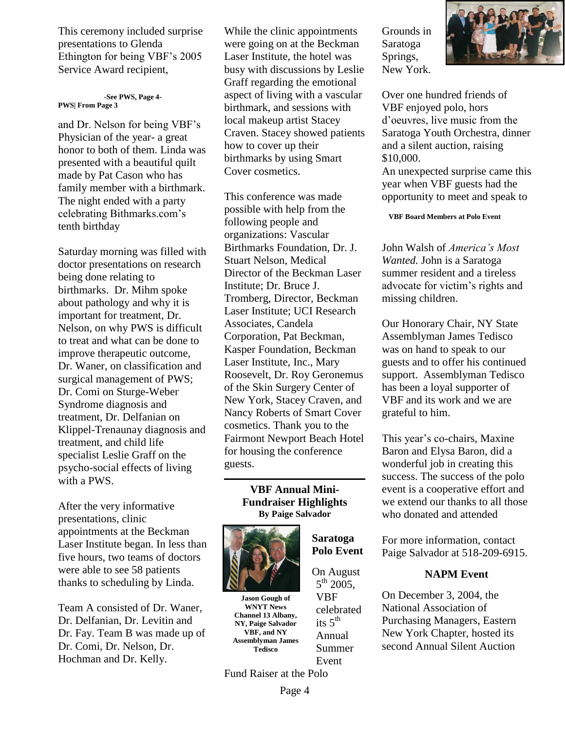This ceremony included surprise presentations to Glenda Ethington for being VBF's 2005 Service Award recipient,

#### **-See PWS, Page 4- PWS| From Page 3**

and Dr. Nelson for being VBF's Physician of the year- a great honor to both of them. Linda was presented with a beautiful quilt made by Pat Cason who has family member with a birthmark. The night ended with a party celebrating Bithmarks.com's tenth birthday

Saturday morning was filled with doctor presentations on research being done relating to birthmarks. Dr. Mihm spoke about pathology and why it is important for treatment, Dr. Nelson, on why PWS is difficult to treat and what can be done to improve therapeutic outcome, Dr. Waner, on classification and surgical management of PWS; Dr. Comi on Sturge-Weber Syndrome diagnosis and treatment, Dr. Delfanian on Klippel-Trenaunay diagnosis and treatment, and child life specialist Leslie Graff on the psycho-social effects of living with a PWS.

After the very informative presentations, clinic appointments at the Beckman Laser Institute began. In less than five hours, two teams of doctors were able to see 58 patients thanks to scheduling by Linda.

Team A consisted of Dr. Waner, Dr. Delfanian, Dr. Levitin and Dr. Fay. Team B was made up of Dr. Comi, Dr. Nelson, Dr. Hochman and Dr. Kelly.

While the clinic appointments were going on at the Beckman Laser Institute, the hotel was busy with discussions by Leslie Graff regarding the emotional aspect of living with a vascular birthmark, and sessions with local makeup artist Stacey Craven. Stacey showed patients how to cover up their birthmarks by using Smart Cover cosmetics.

This conference was made possible with help from the following people and organizations: Vascular Birthmarks Foundation, Dr. J. Stuart Nelson, Medical Director of the Beckman Laser Institute; Dr. Bruce J. Tromberg, Director, Beckman Laser Institute; UCI Research Associates, Candela Corporation, Pat Beckman, Kasper Foundation, Beckman Laser Institute, Inc., Mary Roosevelt, Dr. Roy Geronemus of the Skin Surgery Center of New York, Stacey Craven, and Nancy Roberts of Smart Cover cosmetics. Thank you to the Fairmont Newport Beach Hotel for housing the conference guests.

#### **VBF Annual Mini-Fundraiser Highlights By Paige Salvador**

**Saratoga Polo Event** 

On August  $5^{th}$  2005, VBF celebrated its  $5<sup>th</sup>$ Annual Summer Event



**Jason Gough of WNYT News Channel 13 Albany, NY, Paige Salvador VBF, and NY Assemblyman James Tedisco**

Grounds in Saratoga Springs, New York.



An unexpected surprise came this year when VBF guests had the opportunity to meet and speak to

**VBF Board Members at Polo Event**

John Walsh of *America's Most Wanted.* John is a Saratoga summer resident and a tireless advocate for victim's rights and missing children.

Our Honorary Chair, NY State Assemblyman James Tedisco was on hand to speak to our guests and to offer his continued support. Assemblyman Tedisco has been a loyal supporter of VBF and its work and we are grateful to him.

This year's co-chairs, Maxine Baron and Elysa Baron, did a wonderful job in creating this success. The success of the polo event is a cooperative effort and we extend our thanks to all those who donated and attended

For more information, contact Paige Salvador at 518-209-6915.

## **NAPM Event**

On December 3, 2004, the National Association of Purchasing Managers, Eastern New York Chapter, hosted its second Annual Silent Auction

Fund Raiser at the Polo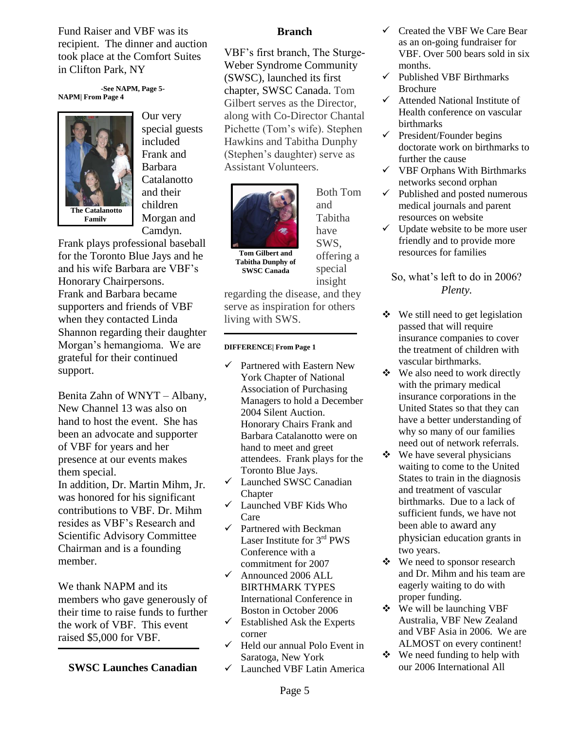Fund Raiser and VBF was its recipient. The dinner and auction took place at the Comfort Suites in Clifton Park, NY

**-See NAPM, Page 5- NAPM| From Page 4**



Our very special guests included Frank and Barbara Catalanotto and their children Morgan and Camdyn.

Frank plays professional baseball for the Toronto Blue Jays and he and his wife Barbara are VBF's Honorary Chairpersons. Frank and Barbara became supporters and friends of VBF when they contacted Linda Shannon regarding their daughter Morgan's hemangioma. We are grateful for their continued support.

Benita Zahn of WNYT – Albany, New Channel 13 was also on hand to host the event. She has been an advocate and supporter of VBF for years and her presence at our events makes them special.

In addition, Dr. Martin Mihm, Jr. was honored for his significant contributions to VBF. Dr. Mihm resides as VBF's Research and Scientific Advisory Committee Chairman and is a founding member.

We thank NAPM and its members who gave generously of their time to raise funds to further the work of VBF. This event raised \$5,000 for VBF.

**SWSC Launches Canadian**

#### **Branch**

VBF's first branch, The Sturge-Weber Syndrome Community (SWSC), launched its first chapter, SWSC Canada. Tom Gilbert serves as the Director, along with Co-Director Chantal Pichette (Tom's wife). Stephen Hawkins and Tabitha Dunphy (Stephen's daughter) serve as Assistant Volunteers.



**Tom Gilbert and Tabitha Dunphy of SWSC Canada**

and Tabitha have SWS, offering a special insight

Both Tom

regarding the disease, and they serve as inspiration for others living with SWS.

#### **DIFFERENCE| From Page 1**

- $\checkmark$  Partnered with Eastern New York Chapter of National Association of Purchasing Managers to hold a December 2004 Silent Auction. Honorary Chairs Frank and Barbara Catalanotto were on hand to meet and greet attendees. Frank plays for the Toronto Blue Jays.
- Launched SWSC Canadian Chapter
- Launched VBF Kids Who Care
- $\checkmark$  Partnered with Beckman Laser Institute for 3rd PWS Conference with a commitment for 2007
- $\checkmark$  Announced 2006 ALL BIRTHMARK TYPES International Conference in Boston in October 2006
- $\checkmark$  Established Ask the Experts corner
- $\checkmark$  Held our annual Polo Event in Saratoga, New York
- Launched VBF Latin America
- $\checkmark$  Created the VBF We Care Bear as an on-going fundraiser for VBF. Over 500 bears sold in six months.
- $\checkmark$  Published VBF Birthmarks Brochure
- $\checkmark$  Attended National Institute of Health conference on vascular birthmarks
- $\checkmark$  President/Founder begins doctorate work on birthmarks to further the cause
- $\checkmark$  VBF Orphans With Birthmarks networks second orphan
- $\checkmark$  Published and posted numerous medical journals and parent resources on website
- $\checkmark$  Update website to be more user friendly and to provide more resources for families

## So, what's left to do in 2006? *Plenty.*

- We still need to get legislation passed that will require insurance companies to cover the treatment of children with vascular birthmarks.
- ❖ We also need to work directly with the primary medical insurance corporations in the United States so that they can have a better understanding of why so many of our families need out of network referrals.
- $\div$  We have several physicians waiting to come to the United States to train in the diagnosis and treatment of vascular birthmarks. Due to a lack of sufficient funds, we have not been able to award any physician education grants in two years.
- We need to sponsor research and Dr. Mihm and his team are eagerly waiting to do with proper funding.
- We will be launching VBF Australia, VBF New Zealand and VBF Asia in 2006. We are ALMOST on every continent!
- $\div$  We need funding to help with our 2006 International All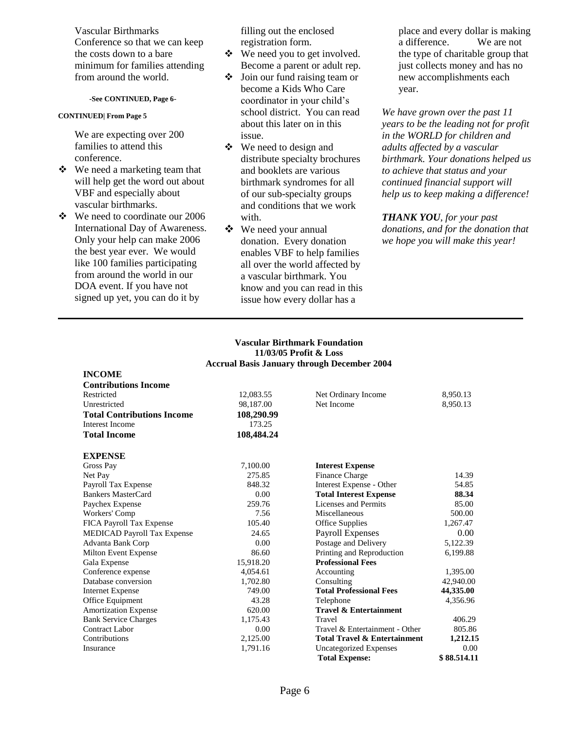Vascular Birthmarks Conference so that we can keep the costs down to a bare minimum for families attending from around the world.

#### **-See CONTINUED, Page 6-**

#### **CONTINUED| From Page 5**

**INCOME**

We are expecting over 200 families to attend this conference.

- We need a marketing team that will help get the word out about VBF and especially about vascular birthmarks.
- We need to coordinate our 2006 International Day of Awareness. Only your help can make 2006 the best year ever. We would like 100 families participating from around the world in our DOA event. If you have not signed up yet, you can do it by

filling out the enclosed registration form.

- We need you to get involved. Become a parent or adult rep.
- $\triangleleft$  Join our fund raising team or become a Kids Who Care coordinator in your child's school district. You can read about this later on in this issue.
- We need to design and distribute specialty brochures and booklets are various birthmark syndromes for all of our sub-specialty groups and conditions that we work with
- We need your annual donation. Every donation enables VBF to help families all over the world affected by a vascular birthmark. You know and you can read in this issue how every dollar has a

place and every dollar is making a difference. We are not the type of charitable group that just collects money and has no new accomplishments each year.

*We have grown over the past 11 years to be the leading not for profit in the WORLD for children and adults affected by a vascular birthmark. Your donations helped us to achieve that status and your continued financial support will help us to keep making a difference!* 

*THANK YOU, for your past donations, and for the donation that we hope you will make this year!*

#### **Vascular Birthmark Foundation 11/03/05 Profit & Loss Accrual Basis January through December 2004**

| <b>Contributions Income</b>        |            |                                         |             |
|------------------------------------|------------|-----------------------------------------|-------------|
| Restricted                         | 12,083.55  | Net Ordinary Income                     | 8,950.13    |
| Unrestricted                       | 98,187.00  | Net Income                              | 8,950.13    |
| <b>Total Contributions Income</b>  | 108,290.99 |                                         |             |
| Interest Income                    | 173.25     |                                         |             |
| <b>Total Income</b>                | 108,484.24 |                                         |             |
| <b>EXPENSE</b>                     |            |                                         |             |
| Gross Pay                          | 7,100.00   | <b>Interest Expense</b>                 |             |
| Net Pay                            | 275.85     | Finance Charge                          | 14.39       |
| Payroll Tax Expense                | 848.32     | Interest Expense - Other                | 54.85       |
| Bankers MasterCard                 | 0.00       | <b>Total Interest Expense</b>           | 88.34       |
| Paychex Expense                    | 259.76     | <b>Licenses and Permits</b>             | 85.00       |
| Workers' Comp                      | 7.56       | Miscellaneous                           | 500.00      |
| FICA Payroll Tax Expense           | 105.40     | Office Supplies                         | 1,267.47    |
| <b>MEDICAD Payroll Tax Expense</b> | 24.65      | <b>Payroll Expenses</b>                 | 0.00        |
| Advanta Bank Corp                  | 0.00       | Postage and Delivery                    | 5,122.39    |
| Milton Event Expense               | 86.60      | Printing and Reproduction               | 6,199.88    |
| Gala Expense                       | 15,918.20  | <b>Professional Fees</b>                |             |
| Conference expense                 | 4,054.61   | Accounting                              | 1,395.00    |
| Database conversion                | 1,702.80   | Consulting                              | 42,940.00   |
| <b>Internet Expense</b>            | 749.00     | <b>Total Professional Fees</b>          | 44,335.00   |
| Office Equipment                   | 43.28      | Telephone                               | 4,356.96    |
| <b>Amortization Expense</b>        | 620.00     | <b>Travel &amp; Entertainment</b>       |             |
| <b>Bank Service Charges</b>        | 1,175.43   | Travel                                  | 406.29      |
| <b>Contract Labor</b>              | 0.00       | Travel & Entertainment - Other          | 805.86      |
| Contributions                      | 2,125.00   | <b>Total Travel &amp; Entertainment</b> | 1,212.15    |
| Insurance                          | 1,791.16   | Uncategorized Expenses                  | 0.00        |
|                                    |            | <b>Total Expense:</b>                   | \$88.514.11 |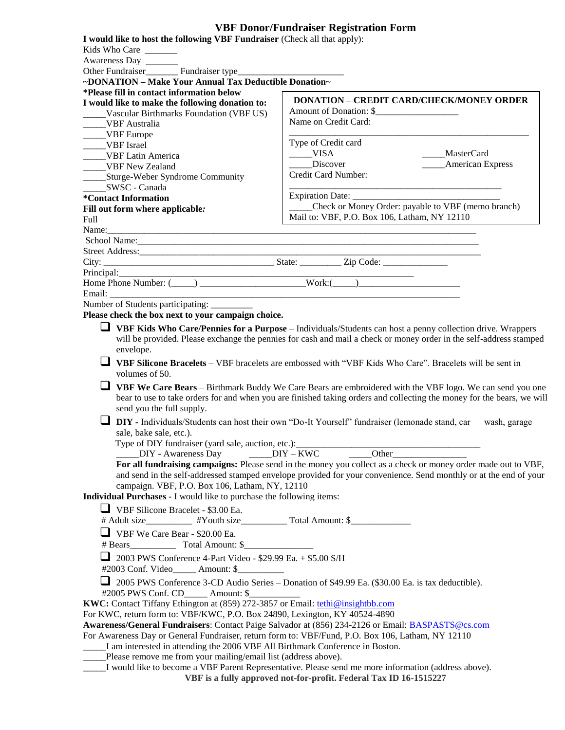## **VBF Donor/Fundraiser Registration Form**

| I would like to host the following VBF Fundraiser (Check all that apply):                                                                                                                                                            | VDF DOROH Funui alsei Aegisti ation Form                                                                                                                                                                                            |  |  |  |
|--------------------------------------------------------------------------------------------------------------------------------------------------------------------------------------------------------------------------------------|-------------------------------------------------------------------------------------------------------------------------------------------------------------------------------------------------------------------------------------|--|--|--|
| Kids Who Care<br>Awareness Day                                                                                                                                                                                                       |                                                                                                                                                                                                                                     |  |  |  |
| Other Fundraiser<br><u>___________</u> Fundraiser type__                                                                                                                                                                             |                                                                                                                                                                                                                                     |  |  |  |
| ~DONATION - Make Your Annual Tax Deductible Donation~                                                                                                                                                                                |                                                                                                                                                                                                                                     |  |  |  |
| *Please fill in contact information below                                                                                                                                                                                            |                                                                                                                                                                                                                                     |  |  |  |
| I would like to make the following donation to:                                                                                                                                                                                      | <b>DONATION - CREDIT CARD/CHECK/MONEY ORDER</b>                                                                                                                                                                                     |  |  |  |
| _____Vascular Birthmarks Foundation (VBF US)                                                                                                                                                                                         |                                                                                                                                                                                                                                     |  |  |  |
| ____VBF Australia                                                                                                                                                                                                                    | Name on Credit Card:                                                                                                                                                                                                                |  |  |  |
| ____VBF Europe                                                                                                                                                                                                                       | Type of Credit card                                                                                                                                                                                                                 |  |  |  |
| _____VBF Israel<br>VBF Latin America                                                                                                                                                                                                 | $_{\text{IVISA}}$<br>____MasterCard                                                                                                                                                                                                 |  |  |  |
| _____VBF New Zealand                                                                                                                                                                                                                 | Discover<br><b>American Express</b>                                                                                                                                                                                                 |  |  |  |
| _______Sturge-Weber Syndrome Community                                                                                                                                                                                               | Credit Card Number:                                                                                                                                                                                                                 |  |  |  |
| SWSC - Canada                                                                                                                                                                                                                        |                                                                                                                                                                                                                                     |  |  |  |
| *Contact Information                                                                                                                                                                                                                 |                                                                                                                                                                                                                                     |  |  |  |
| Fill out form where applicable:                                                                                                                                                                                                      | Check or Money Order: payable to VBF (memo branch)                                                                                                                                                                                  |  |  |  |
| Full                                                                                                                                                                                                                                 | Mail to: VBF, P.O. Box 106, Latham, NY 12110                                                                                                                                                                                        |  |  |  |
|                                                                                                                                                                                                                                      |                                                                                                                                                                                                                                     |  |  |  |
| School Name: 2008 Channels 2008 Channels 2008 Channels 2008 Channels 2008 Channels 2008 Channels 2008 Channels 2008 Channels 2008 Channels 2008 Channels 2008 Channels 2008 Channels 2008 Channels 2008 Channels 2008 Channels       |                                                                                                                                                                                                                                     |  |  |  |
|                                                                                                                                                                                                                                      |                                                                                                                                                                                                                                     |  |  |  |
|                                                                                                                                                                                                                                      |                                                                                                                                                                                                                                     |  |  |  |
| Principal: <u>Mone Phone Number: (California Communication Controller Communication Communication Communication Communication Communication Communication Communication Communication Communication Communication Communication </u> |                                                                                                                                                                                                                                     |  |  |  |
|                                                                                                                                                                                                                                      |                                                                                                                                                                                                                                     |  |  |  |
| Number of Students participating: _________                                                                                                                                                                                          |                                                                                                                                                                                                                                     |  |  |  |
| Please check the box next to your campaign choice.                                                                                                                                                                                   |                                                                                                                                                                                                                                     |  |  |  |
| envelope.<br>volumes of 50.                                                                                                                                                                                                          | will be provided. Please exchange the pennies for cash and mail a check or money order in the self-address stamped<br>VBF Silicone Bracelets – VBF bracelets are embossed with "VBF Kids Who Care". Bracelets will be sent in       |  |  |  |
|                                                                                                                                                                                                                                      | VBF We Care Bears – Birthmark Buddy We Care Bears are embroidered with the VBF logo. We can send you one                                                                                                                            |  |  |  |
| send you the full supply.                                                                                                                                                                                                            | bear to use to take orders for and when you are finished taking orders and collecting the money for the bears, we will                                                                                                              |  |  |  |
|                                                                                                                                                                                                                                      | DIY - Individuals/Students can host their own "Do-It Yourself" fundraiser (lemonade stand, car<br>wash, garage                                                                                                                      |  |  |  |
| sale, bake sale, etc.).<br>Type of DIY fundraiser (yard sale, auction, etc.):                                                                                                                                                        |                                                                                                                                                                                                                                     |  |  |  |
| $DIV - Awareness$ Day $DUY - KWC$                                                                                                                                                                                                    | Other                                                                                                                                                                                                                               |  |  |  |
| campaign. VBF, P.O. Box 106, Latham, NY, 12110<br>Individual Purchases - I would like to purchase the following items:                                                                                                               | For all fundraising campaigns: Please send in the money you collect as a check or money order made out to VBF,<br>and send in the self-addressed stamped envelope provided for your convenience. Send monthly or at the end of your |  |  |  |
| $\Box$ VBF Silicone Bracelet - \$3.00 Ea.                                                                                                                                                                                            |                                                                                                                                                                                                                                     |  |  |  |
| # Adult size___________ #Youth size_____________ Total Amount: \$________________                                                                                                                                                    |                                                                                                                                                                                                                                     |  |  |  |
| $\Box$ VBF We Care Bear - \$20.00 Ea.                                                                                                                                                                                                |                                                                                                                                                                                                                                     |  |  |  |
| 2003 PWS Conference 4-Part Video - \$29.99 Ea. + \$5.00 S/H<br>#2003 Conf. Video______ Amount: \$__________                                                                                                                          |                                                                                                                                                                                                                                     |  |  |  |
| #2005 PWS Conf. CD_____ Amount: \$                                                                                                                                                                                                   | 2005 PWS Conference 3-CD Audio Series – Donation of \$49.99 Ea. (\$30.00 Ea. is tax deductible).                                                                                                                                    |  |  |  |
| KWC: Contact Tiffany Ethington at (859) 272-3857 or Email: tethi@insightbb.com                                                                                                                                                       |                                                                                                                                                                                                                                     |  |  |  |
| For KWC, return form to: VBF/KWC, P.O. Box 24890, Lexington, KY 40524-4890                                                                                                                                                           |                                                                                                                                                                                                                                     |  |  |  |
|                                                                                                                                                                                                                                      | Awareness/General Fundraisers: Contact Paige Salvador at (856) 234-2126 or Email: <b>BASPASTS@cs.com</b>                                                                                                                            |  |  |  |
| For Awareness Day or General Fundraiser, return form to: VBF/Fund, P.O. Box 106, Latham, NY 12110<br>I am interested in attending the 2006 VBF All Birthmark Conference in Boston.                                                   |                                                                                                                                                                                                                                     |  |  |  |
| ____Please remove me from your mailing/email list (address above).                                                                                                                                                                   |                                                                                                                                                                                                                                     |  |  |  |
|                                                                                                                                                                                                                                      | I would like to become a VBF Parent Representative. Please send me more information (address above).<br>VBF is a fully approved not-for-profit. Federal Tax ID 16-1515227                                                           |  |  |  |